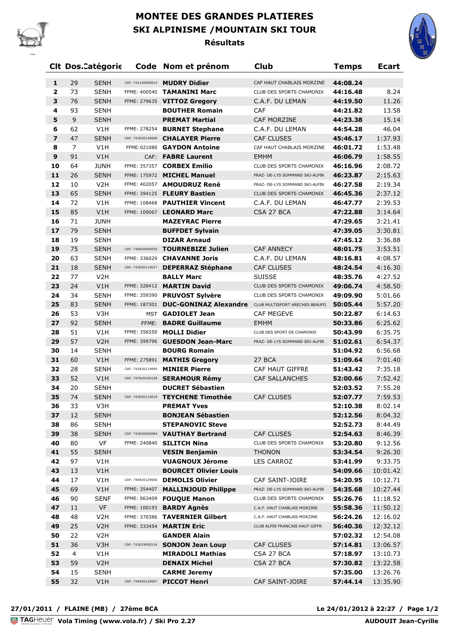

## **MONTEE DES GRANDES PLATIERES SKI ALPINISME /MOUNTAIN SKI TOUR Résultats**



|                         | <b>Clt Dos.Catégorie</b>      |                                   | Code Nom et prénom                           | <b>Club</b>                                   | <b>Temps</b>         | <b>Ecart</b>       |
|-------------------------|-------------------------------|-----------------------------------|----------------------------------------------|-----------------------------------------------|----------------------|--------------------|
| 1                       | 29<br><b>SENH</b>             | CAF: 741120090014                 | <b>MUDRY Didier</b>                          | CAF HAUT CHABLAIS MORZINE                     | 44:08.24             |                    |
| $\overline{\mathbf{2}}$ | 73<br><b>SENH</b>             | FFME: 400540                      | <b>TAMANINI Marc</b>                         | CLUB DES SPORTS CHAMONIX                      | 44:16.48             | 8.24               |
| 3                       | <b>SENH</b><br>76             |                                   | FFME: 279635 VITTOZ Gregory                  | C.A.F. DU LEMAN                               | 44:19.50             | 11.26              |
| 4                       | 93<br><b>SENH</b>             |                                   | <b>BOUTHER Romain</b>                        | CAF                                           | 44:21.82             | 13.58              |
| 5                       | 9<br><b>SENH</b>              |                                   | <b>PREMAT Martial</b>                        | <b>CAF MORZINE</b>                            | 44:23.38             | 15.14              |
| 6                       | 62<br>V1H                     |                                   | FFME: 278254 BURNET Stephane                 | C.A.F. DU LEMAN                               | 44:54.28             | 46.04              |
| $\overline{\mathbf{z}}$ | 47<br><b>SENH</b>             | CAF: 743020129009                 | <b>CHALAYER Pierre</b>                       | <b>CAF CLUSES</b>                             | 45:46.17             | 1:37.93            |
| 8                       | 7<br>V1H                      |                                   | FFME:021080 GAYDON Antoine                   | CAF HAUT CHABLAIS MORZINE                     | 46:01.72             | 1:53.48            |
| 9                       | 91<br>V1H                     |                                   | CAF: FABRE Laurent                           | <b>EMHM</b>                                   | 46:06.79             | 1:58.55            |
| 10                      | <b>JUNH</b><br>64             |                                   | FFME: 357357 CORBEX Emilio                   | CLUB DES SPORTS CHAMONIX                      | 46:16.96             | 2:08.72            |
| 11                      | 26<br><b>SENH</b>             |                                   | FFME: 175972 MICHEL Manuel                   | PRAZ- DE-LYS SOMMAND SKI-ALPIN                | 46:23.87             | 2:15.63            |
| 12                      | 10<br>V <sub>2</sub> H        |                                   | FFME: 402057 AMOUDRUZ René                   | PRAZ- DE-LYS SOMMAND SKI-ALPIN                | 46:27.58             | 2:19.34            |
| 13                      | 65<br><b>SENH</b>             |                                   | FFME: 394125 FLEURY Bastien                  | CLUB DES SPORTS CHAMONIX                      | 46:45.36             | 2:37.12            |
| 14                      | V1H<br>72                     | FFME: 108468                      | <b>PAUTHIER Vincent</b>                      | C.A.F. DU LEMAN                               | 46:47.77             | 2:39.53            |
| 15                      | 85<br>V1H                     |                                   | FFME: 109067 LEONARD Marc                    | CSA 27 BCA                                    | 47:22.88             | 3:14.64            |
| 16                      | <b>JUNH</b><br>71             |                                   | <b>MAZEYRAC Pierre</b>                       |                                               | 47:29.65             | 3:21.41            |
| 17                      | 79<br><b>SENH</b>             |                                   | <b>BUFFDET Sylvain</b>                       |                                               | 47:39.05             | 3:30.81            |
| 18                      | 19<br><b>SENH</b>             |                                   | <b>DIZAR Arnaud</b>                          |                                               | 47:45.12             | 3:36.88            |
| 19                      | 75<br><b>SENH</b>             | CAF: 740020090035                 | <b>TOURNEBIZE Julien</b>                     | <b>CAF ANNECY</b>                             | 48:01.75             | 3:53.51            |
| 20                      | 63<br><b>SENH</b>             | FFME: 336029                      | <b>CHAVANNE Joris</b>                        | C.A.F. DU LEMAN                               | 48:16.81             | 4:08.57            |
| 21                      | 18<br><b>SENH</b>             | CAF: 743020110017                 | <b>DEPERRAZ Stéphane</b>                     | <b>CAF CLUSES</b>                             | 48:24.54             | 4:16.30            |
| 22                      | 77<br>V <sub>2</sub> H        |                                   | <b>BALLY Marc</b>                            | <b>SUISSE</b>                                 | 48:35.76             | 4:27.52            |
| 23                      | 24<br>V1H                     |                                   | FFME: 328412 MARTIN David                    | CLUB DES SPORTS CHAMONIX                      | 49:06.74             | 4:58.50            |
| 24                      | 34<br><b>SENH</b>             | FFME: 359390                      | <b>PRUVOST Sylvère</b>                       | CLUB DES SPORTS CHAMONIX                      | 49:09.90             | 5:01.66            |
| 25                      | 83<br><b>SENH</b>             |                                   | FFME: 187301 DUC-GONINAZ Alexandre           | CLUB MULTISPORT ARECHES BEAUFO                | 50:05.44             | 5:57.20            |
| 26                      | 53<br>V3H                     |                                   | MST GADIOLET Jean                            | <b>CAF MEGEVE</b>                             | 50:22.87             | 6:14.63            |
| 27                      | 92<br><b>SENH</b>             | FFME:                             | <b>BADRE Guillaume</b>                       | <b>EMHM</b>                                   | 50:33.86             | 6:25.62            |
| 28                      | 51<br>V1H                     | FFME: 356550                      | <b>MOLLI Didier</b>                          | CLUB DES SPORT DE CHAMONIX                    | 50:43.99             | 6:35.75            |
| 29                      | 57<br>V <sub>2</sub> H        |                                   | FFME: 399796 GUESDON Jean-Marc               | PRAZ- DE-LYS SOMMAND SKI-ALPIN                | 51:02.61             | 6:54.37            |
| 30                      | <b>SENH</b><br>14             |                                   | <b>BOURG Romain</b>                          |                                               | 51:04.92             | 6:56.68            |
| 31                      | 60<br>V1H                     |                                   | FFME: 275891 MATHIS Gregory                  | 27 BCA                                        | 51:09.64             | 7:01.40            |
| 32                      | 28<br><b>SENH</b>             | CAF: 743420119095                 | <b>MINIER Pierre</b>                         | <b>CAF HAUT GIFFRE</b>                        | 51:43.42             | 7:35.18            |
| 33                      | 52<br>V1H                     | CAF: 747020100128                 | <b>SERAMOUR Rémy</b>                         | <b>CAF SALLANCHES</b>                         | 52:00.66             | 7:52.42            |
| 34                      | 20<br><b>SENH</b>             |                                   | <b>DUCRET Sébastien</b>                      |                                               | 52:03.52             | 7:55.28            |
| 35                      | 74<br><b>SENH</b>             |                                   | CAF: 743020110019 TEYCHENE Timothée          | <b>CAF CLUSES</b>                             | 52:07.77             | 7:59.53            |
| 36                      | 33<br>V3H                     |                                   | <b>PREMAT Yves</b>                           |                                               | 52:10.38             | 8:02.14            |
| 37                      | 12<br><b>SENH</b>             |                                   | <b>BONJEAN Sébastien</b>                     |                                               | 52:12.56             | 8:04.32            |
| 38                      | 86<br><b>SENH</b>             |                                   | <b>STEPANOVIC Steve</b>                      |                                               | 52:52.73             | 8:44.49            |
| 39<br>40                | 38<br><b>SENH</b><br>VF<br>80 | CAF: 743020050084<br>FFME: 240840 | <b>VAUTHAY Bertrand</b>                      | <b>CAF CLUSES</b><br>CLUB DES SPORTS CHAMONIX | 52:54.63             | 8:46.39            |
| 41                      | 55                            |                                   | <b>SILITCH Nina</b><br><b>VESIN Benjamin</b> |                                               | 53:20.80<br>53:34.54 | 9:12.56            |
| 42                      | <b>SENH</b><br>97<br>V1H      |                                   | <b>VUAGNOUX Jérome</b>                       | <b>THONON</b><br>LES CARROZ                   | 53:41.99             | 9:26.30<br>9:33.75 |
| 43                      | 13<br>V1H                     |                                   | <b>BOURCET Olivier Louis</b>                 |                                               | 54:09.66             | 10:01.42           |
| 44                      | 17<br>V1H                     | CAF: 744920129006                 | <b>DEMOLIS Olivier</b>                       | CAF SAINT-JOIRE                               | 54:20.95             | 10:12.71           |
| 45                      | 69<br>V1H                     | FFME: 354407                      | <b>MALLINJOUD Philippe</b>                   | PRAZ- DE-LYS SOMMAND SKI-ALPIN                | 54:35.68             | 10:27.44           |
| 46                      | 90<br><b>SENF</b>             |                                   | FFME: 063409 FOUQUE Manon                    | CLUB DES SPORTS CHAMONIX                      | 55:26.76             | 11:18.52           |
| 47                      | 11<br><b>VF</b>               |                                   | FFME: 100193 <b>BARDY Agnès</b>              | C.A.F. HAUT CHABLAIS MORZINE                  | 55:58.36             | 11:50.12           |
| 48                      | 48<br>V <sub>2</sub> H        | FFME: 370386                      | <b>TAVERNIER Gilbert</b>                     | C.A.F. HAUT CHABLAIS MORZINE                  | 56:24.26             | 12:16.02           |
| 49                      | 25<br>V <sub>2</sub> H        | FFME: 333454                      | <b>MARTIN Eric</b>                           | CLUB ALPIN FRANCAIS HAUT GIFFR                | 56:40.36             | 12:32.12           |
| 50                      | 22<br>V <sub>2</sub> H        |                                   | <b>GANDER Alain</b>                          |                                               | 57:02.32             | 12:54.08           |
| 51                      | 36<br>V3H                     | CAF: 743019950116                 | <b>SONJON Jean Loup</b>                      | CAF CLUSES                                    | 57:14.81             | 13:06.57           |
| 52                      | $\overline{4}$<br>V1H         |                                   | <b>MIRADOLI Mathias</b>                      | CSA 27 BCA                                    | 57:18.97             | 13:10.73           |
| 53                      | 59<br>V <sub>2</sub> H        |                                   | <b>DENAIX Michel</b>                         | CSA 27 BCA                                    | 57:30.82             | 13:22.58           |
| 54                      | 15<br><b>SENH</b>             |                                   | <b>CARME Jeremy</b>                          |                                               | 57:35.00             | 13:26.76           |
| 55                      | 32<br>V1H                     | CAF: 744920129007                 | <b>PICCOT Henri</b>                          | CAF SAINT-JOIRE                               | 57:44.14             | 13:35.90           |